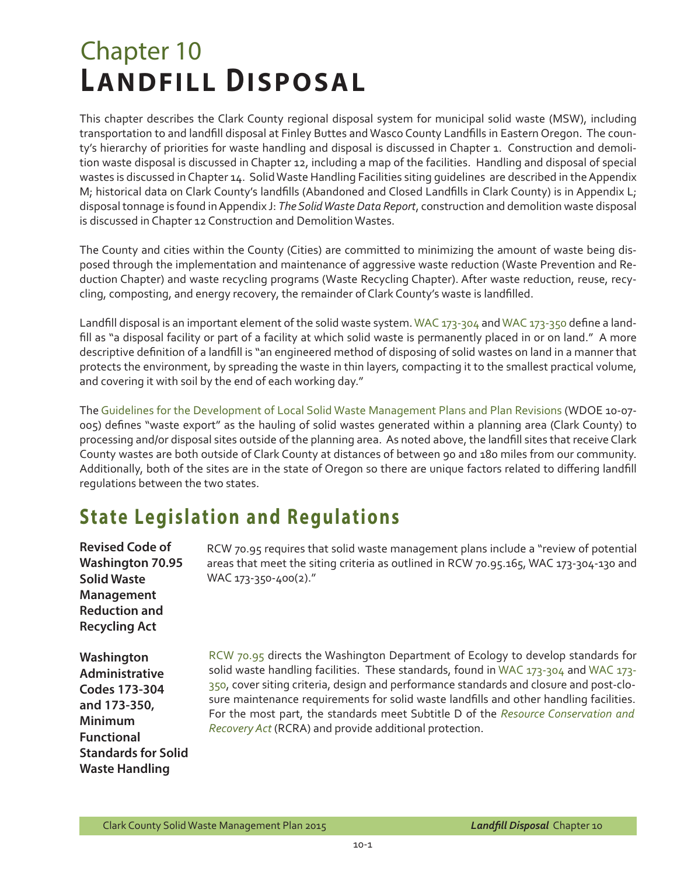# Chapter 10 **LANDFILL DISPOSAL**

This chapter describes the Clark County regional disposal system for municipal solid waste (MSW), including transportation to and landfill disposal at Finley Buttes and Wasco County Landfills in Eastern Oregon. The county's hierarchy of priorities for waste handling and disposal is discussed in Chapter 1. Construction and demolition waste disposal is discussed in Chapter 12, including a map of the facilities. Handling and disposal of special wastes is discussed in Chapter 14. Solid Waste Handling Facilities siting guidelines are described in the Appendix M; historical data on Clark County's landfills (Abandoned and Closed Landfills in Clark County) is in Appendix L; disposal tonnage is found in Appendix J: *The Solid Waste Data Report*, construction and demolition waste disposal is discussed in Chapter 12 Construction and Demolition Wastes.

The County and cities within the County (Cities) are committed to minimizing the amount of waste being disposed through the implementation and maintenance of aggressive waste reduction (Waste Prevention and Reduction Chapter) and waste recycling programs (Waste Recycling Chapter). After waste reduction, reuse, recycling, composting, and energy recovery, the remainder of Clark County's waste is landfilled.

Landfill disposal is an important element of the solid waste system. [WAC 173-304](http://apps.leg.wa.gov/wac/default.aspx?cite=173-304) and [WAC 173-350](http://apps.leg.wa.gov/wac/default.aspx?cite=173-350) define a landfill as "a disposal facility or part of a facility at which solid waste is permanently placed in or on land." A more descriptive definition of a landfill is "an engineered method of disposing of solid wastes on land in a manner that protects the environment, by spreading the waste in thin layers, compacting it to the smallest practical volume, and covering it with soil by the end of each working day."

The [Guidelines for the Development of Local Solid Waste Management Plans and Plan Revisions](https://fortress.wa.gov/ecy/publications/publications/1007005.pdf) (WDOE 10-07- 005) defines "waste export" as the hauling of solid wastes generated within a planning area (Clark County) to processing and/or disposal sites outside of the planning area. As noted above, the landfill sites that receive Clark County wastes are both outside of Clark County at distances of between 90 and 180 miles from our community. Additionally, both of the sites are in the state of Oregon so there are unique factors related to differing landfill regulations between the two states.

### **State Legislation and Regulations**

| <b>Revised Code of</b><br><b>Washington 70.95</b><br><b>Solid Waste</b><br><b>Management</b><br><b>Reduction and</b><br><b>Recycling Act</b>                       | RCW 70.95 requires that solid waste management plans include a "review of potential<br>areas that meet the siting criteria as outlined in RCW 70.95.165, WAC 173-304-130 and<br>WAC 173-350-400(2)."                                                                                                                                                                                                                                                                                                      |
|--------------------------------------------------------------------------------------------------------------------------------------------------------------------|-----------------------------------------------------------------------------------------------------------------------------------------------------------------------------------------------------------------------------------------------------------------------------------------------------------------------------------------------------------------------------------------------------------------------------------------------------------------------------------------------------------|
| Washington<br><b>Administrative</b><br><b>Codes 173-304</b><br>and 173-350,<br><b>Minimum</b><br><b>Functional</b><br><b>Standards for Solid</b><br>Waste Handling | RCW 70.95 directs the Washington Department of Ecology to develop standards for<br>solid waste handling facilities. These standards, found in WAC 173-304 and WAC 173-<br>350, cover siting criteria, design and performance standards and closure and post-clo-<br>sure maintenance requirements for solid waste landfills and other handling facilities.<br>For the most part, the standards meet Subtitle D of the Resource Conservation and<br>Recovery Act (RCRA) and provide additional protection. |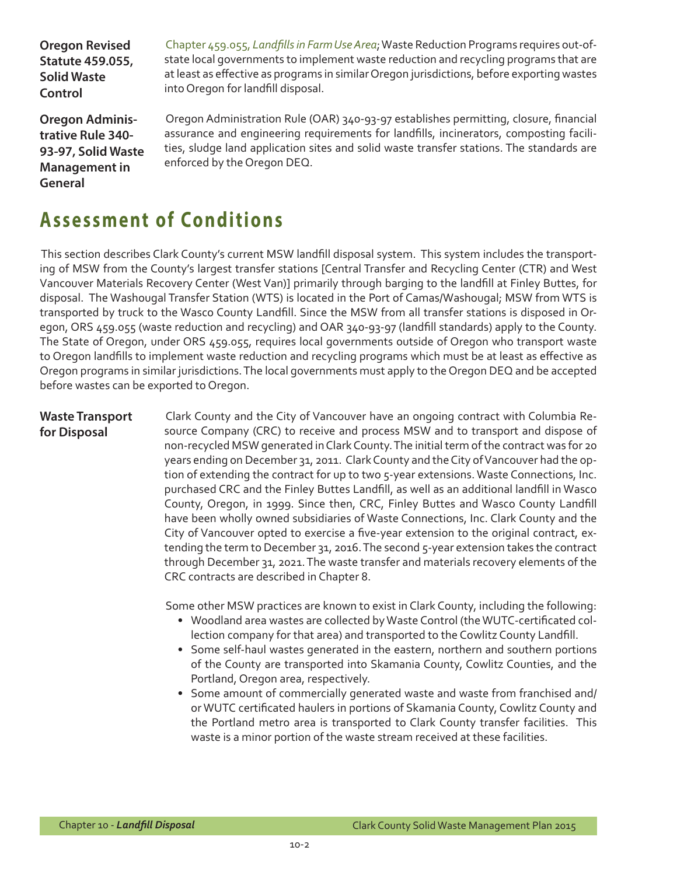**Oregon Revised Statute 459.055, Solid Waste Control** 

Chapter 459.055, *[Landfills in Farm Use Area](http://www.leg.state.or.us/ors/459.html)*; Waste Reduction Programs requires out-ofstate local governments to implement waste reduction and recycling programs that are at least as effective as programs in similar Oregon jurisdictions, before exporting wastes into Oregon for landfill disposal.

**Oregon Administrative Rule 340- 93-97, Solid Waste Management in General** 

Oregon Administration Rule (OAR) 340-93-97 establishes permitting, closure, financial assurance and engineering requirements for landfills, incinerators, composting facilities, sludge land application sites and solid waste transfer stations. The standards are enforced by the Oregon DEQ.

## **Assessment of Conditions**

This section describes Clark County's current MSW landfill disposal system. This system includes the transporting of MSW from the County's largest transfer stations [Central Transfer and Recycling Center (CTR) and West Vancouver Materials Recovery Center (West Van)] primarily through barging to the landfill at Finley Buttes, for disposal. The Washougal Transfer Station (WTS) is located in the Port of Camas/Washougal; MSW from WTS is transported by truck to the Wasco County Landfill. Since the MSW from all transfer stations is disposed in Oregon, ORS 459.055 (waste reduction and recycling) and OAR 340-93-97 (landfill standards) apply to the County. The State of Oregon, under ORS 459.055, requires local governments outside of Oregon who transport waste to Oregon landfills to implement waste reduction and recycling programs which must be at least as effective as Oregon programs in similar jurisdictions. The local governments must apply to the Oregon DEQ and be accepted before wastes can be exported to Oregon.

#### **Waste Transport for Disposal**

Clark County and the City of Vancouver have an ongoing contract with Columbia Resource Company (CRC) to receive and process MSW and to transport and dispose of non-recycled MSW generated in Clark County. The initial term of the contract was for 20 years ending on December 31, 2011. Clark County and the City of Vancouver had the option of extending the contract for up to two 5-year extensions. Waste Connections, Inc. purchased CRC and the Finley Buttes Landfill, as well as an additional landfill in Wasco County, Oregon, in 1999. Since then, CRC, Finley Buttes and Wasco County Landfill have been wholly owned subsidiaries of Waste Connections, Inc. Clark County and the City of Vancouver opted to exercise a five-year extension to the original contract, extending the term to December 31, 2016. The second 5-year extension takes the contract through December 31, 2021. The waste transfer and materials recovery elements of the CRC contracts are described in Chapter 8.

Some other MSW practices are known to exist in Clark County, including the following:

- Woodland area wastes are collected by Waste Control (the WUTC-certificated collection company for that area) and transported to the Cowlitz County Landfill.
- Some self-haul wastes generated in the eastern, northern and southern portions of the County are transported into Skamania County, Cowlitz Counties, and the Portland, Oregon area, respectively.
- Some amount of commercially generated waste and waste from franchised and/ or WUTC certificated haulers in portions of Skamania County, Cowlitz County and the Portland metro area is transported to Clark County transfer facilities. This waste is a minor portion of the waste stream received at these facilities.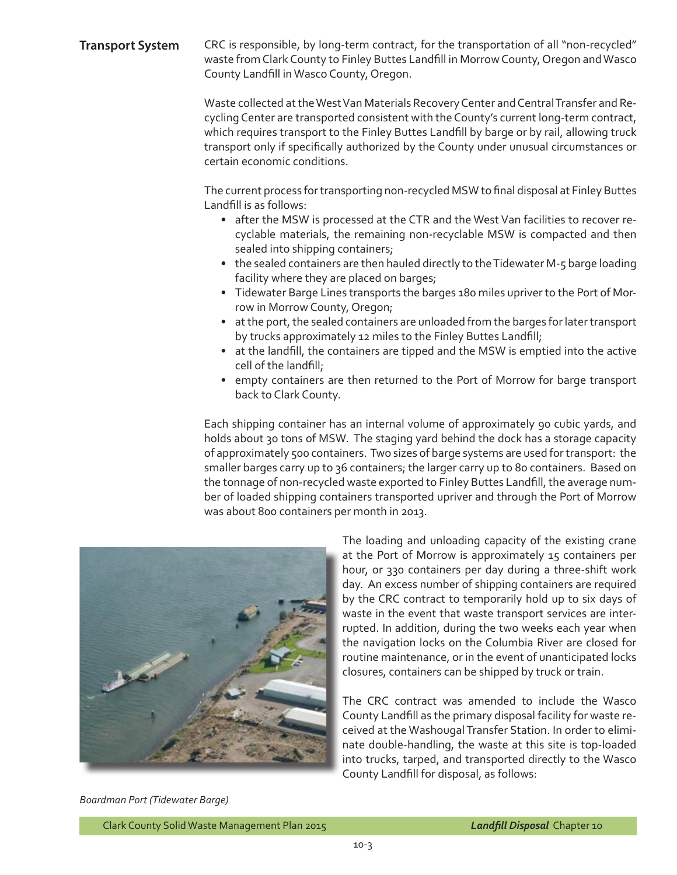#### **Transport System** CRC is responsible, by long-term contract, for the transportation of all "non-recycled" waste from Clark County to Finley Buttes Landfill in Morrow County, Oregon and Wasco County Landfill in Wasco County, Oregon.

Waste collected at the West Van Materials Recovery Center and Central Transfer and Recycling Center are transported consistent with the County's current long-term contract, which requires transport to the Finley Buttes Landfill by barge or by rail, allowing truck transport only if specifically authorized by the County under unusual circumstances or certain economic conditions.

The current process for transporting non-recycled MSW to final disposal at Finley Buttes Landfill is as follows:

- after the MSW is processed at the CTR and the West Van facilities to recover recyclable materials, the remaining non-recyclable MSW is compacted and then sealed into shipping containers;
- the sealed containers are then hauled directly to the Tidewater M-5 barge loading facility where they are placed on barges;
- Tidewater Barge Lines transports the barges 180 miles upriver to the Port of Morrow in Morrow County, Oregon;
- at the port, the sealed containers are unloaded from the barges for later transport by trucks approximately 12 miles to the Finley Buttes Landfill;
- at the landfill, the containers are tipped and the MSW is emptied into the active cell of the landfill;
- empty containers are then returned to the Port of Morrow for barge transport back to Clark County.

Each shipping container has an internal volume of approximately 90 cubic yards, and holds about 30 tons of MSW. The staging yard behind the dock has a storage capacity of approximately 500 containers. Two sizes of barge systems are used for transport: the smaller barges carry up to 36 containers; the larger carry up to 80 containers. Based on the tonnage of non-recycled waste exported to Finley Buttes Landfill, the average number of loaded shipping containers transported upriver and through the Port of Morrow was about 800 containers per month in 2013.



The loading and unloading capacity of the existing crane at the Port of Morrow is approximately 15 containers per hour, or 330 containers per day during a three-shift work day. An excess number of shipping containers are required by the CRC contract to temporarily hold up to six days of waste in the event that waste transport services are interrupted. In addition, during the two weeks each year when the navigation locks on the Columbia River are closed for routine maintenance, or in the event of unanticipated locks closures, containers can be shipped by truck or train.

The CRC contract was amended to include the Wasco County Landfill as the primary disposal facility for waste received at the Washougal Transfer Station. In order to eliminate double-handling, the waste at this site is top-loaded into trucks, tarped, and transported directly to the Wasco County Landfill for disposal, as follows:

*Boardman Port (Tidewater Barge)*

Clark County Solid Waste Management Plan 2015 *Landfill Disposal* Chapter 10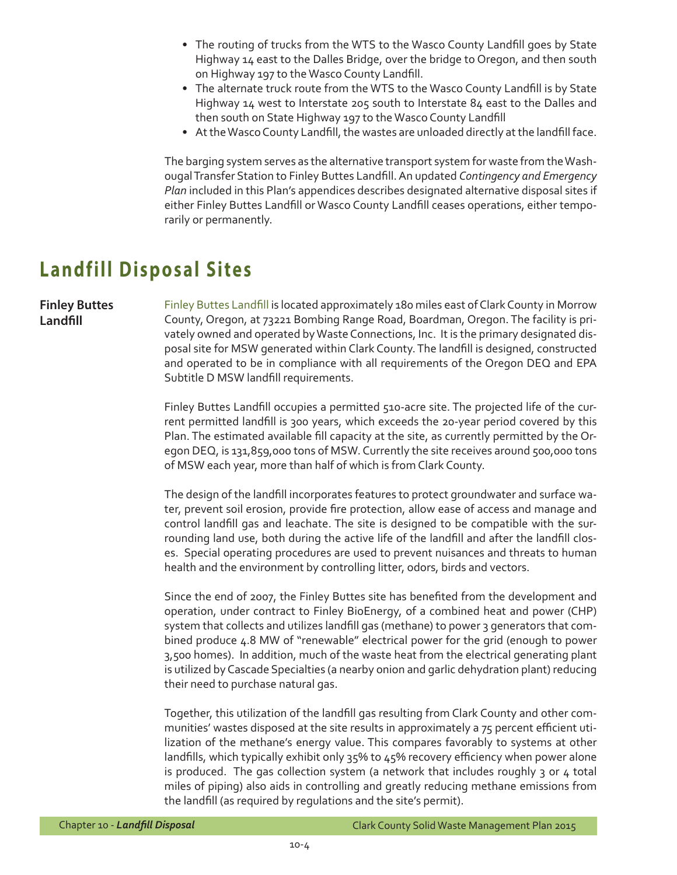- The routing of trucks from the WTS to the Wasco County Landfill goes by State Highway 14 east to the Dalles Bridge, over the bridge to Oregon, and then south on Highway 197 to the Wasco County Landfill.
- The alternate truck route from the WTS to the Wasco County Landfill is by State Highway 14 west to Interstate 205 south to Interstate 84 east to the Dalles and then south on State Highway 197 to the Wasco County Landfill
- At the Wasco County Landfill, the wastes are unloaded directly at the landfill face.

The barging system serves as the alternative transport system for waste from the Washougal Transfer Station to Finley Buttes Landfill. An updated *Contingency and Emergency Plan* included in this Plan's appendices describes designated alternative disposal sites if either Finley Buttes Landfill or Wasco County Landfill ceases operations, either temporarily or permanently.

### **Landfill Disposal Sites**

**Finley Buttes Landfill**

[Finley Buttes Landfill](http://finleybutteslandfill.com/) is located approximately 180 miles east of Clark County in Morrow County, Oregon, at 73221 Bombing Range Road, Boardman, Oregon. The facility is privately owned and operated by Waste Connections, Inc. It is the primary designated disposal site for MSW generated within Clark County. The landfill is designed, constructed and operated to be in compliance with all requirements of the Oregon DEQ and EPA Subtitle D MSW landfill requirements.

Finley Buttes Landfill occupies a permitted 510-acre site. The projected life of the current permitted landfill is 300 years, which exceeds the 20-year period covered by this Plan. The estimated available fill capacity at the site, as currently permitted by the Oregon DEQ, is 131,859,000 tons of MSW. Currently the site receives around 500,000 tons of MSW each year, more than half of which is from Clark County.

The design of the landfill incorporates features to protect groundwater and surface water, prevent soil erosion, provide fire protection, allow ease of access and manage and control landfill gas and leachate. The site is designed to be compatible with the surrounding land use, both during the active life of the landfill and after the landfill closes. Special operating procedures are used to prevent nuisances and threats to human health and the environment by controlling litter, odors, birds and vectors.

Since the end of 2007, the Finley Buttes site has benefited from the development and operation, under contract to Finley BioEnergy, of a combined heat and power (CHP) system that collects and utilizes landfill gas (methane) to power 3 generators that combined produce 4.8 MW of "renewable" electrical power for the grid (enough to power 3,500 homes). In addition, much of the waste heat from the electrical generating plant is utilized by Cascade Specialties (a nearby onion and garlic dehydration plant) reducing their need to purchase natural gas.

Together, this utilization of the landfill gas resulting from Clark County and other communities' wastes disposed at the site results in approximately a 75 percent efficient utilization of the methane's energy value. This compares favorably to systems at other landfills, which typically exhibit only 35% to 45% recovery efficiency when power alone is produced. The gas collection system (a network that includes roughly 3 or 4 total miles of piping) also aids in controlling and greatly reducing methane emissions from the landfill (as required by regulations and the site's permit).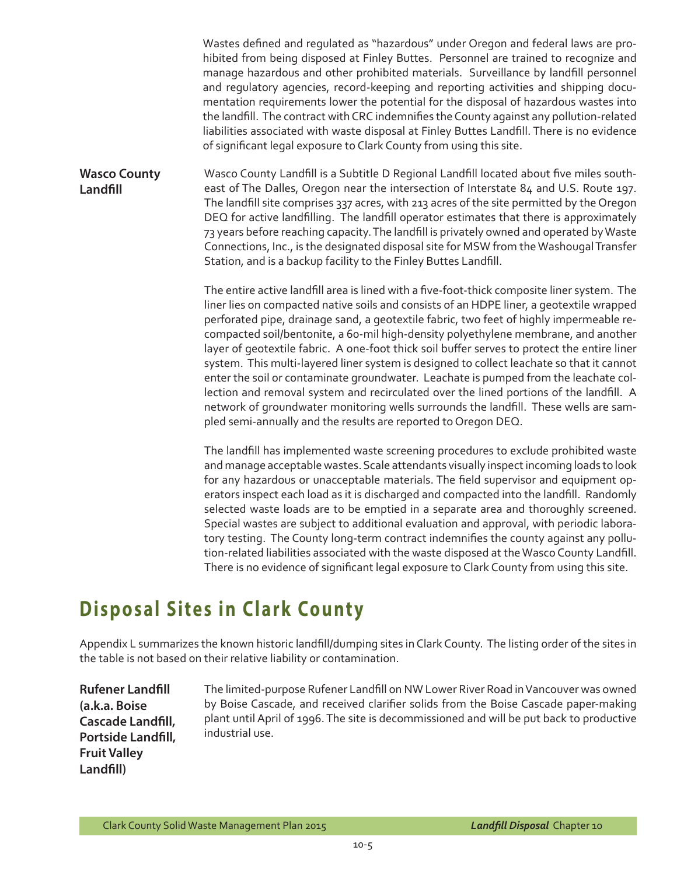Wastes defined and regulated as "hazardous" under Oregon and federal laws are prohibited from being disposed at Finley Buttes. Personnel are trained to recognize and manage hazardous and other prohibited materials. Surveillance by landfill personnel and regulatory agencies, record-keeping and reporting activities and shipping documentation requirements lower the potential for the disposal of hazardous wastes into the landfill. The contract with CRC indemnifies the County against any pollution-related liabilities associated with waste disposal at Finley Buttes Landfill. There is no evidence of significant legal exposure to Clark County from using this site.

**Wasco County Landfill** Wasco County Landfill is a Subtitle D Regional Landfill located about five miles southeast of The Dalles, Oregon near the intersection of Interstate 84 and U.S. Route 197. The landfill site comprises 337 acres, with 213 acres of the site permitted by the Oregon DEQ for active landfilling. The landfill operator estimates that there is approximately 73 years before reaching capacity. The landfill is privately owned and operated by Waste Connections, Inc., is the designated disposal site for MSW from the Washougal Transfer Station, and is a backup facility to the Finley Buttes Landfill.

> The entire active landfill area is lined with a five-foot-thick composite liner system. The liner lies on compacted native soils and consists of an HDPE liner, a geotextile wrapped perforated pipe, drainage sand, a geotextile fabric, two feet of highly impermeable recompacted soil/bentonite, a 60-mil high-density polyethylene membrane, and another layer of geotextile fabric. A one-foot thick soil buffer serves to protect the entire liner system. This multi-layered liner system is designed to collect leachate so that it cannot enter the soil or contaminate groundwater. Leachate is pumped from the leachate collection and removal system and recirculated over the lined portions of the landfill. A network of groundwater monitoring wells surrounds the landfill. These wells are sampled semi-annually and the results are reported to Oregon DEQ.

> The landfill has implemented waste screening procedures to exclude prohibited waste and manage acceptable wastes. Scale attendants visually inspect incoming loads to look for any hazardous or unacceptable materials. The field supervisor and equipment operators inspect each load as it is discharged and compacted into the landfill. Randomly selected waste loads are to be emptied in a separate area and thoroughly screened. Special wastes are subject to additional evaluation and approval, with periodic laboratory testing. The County long-term contract indemnifies the county against any pollution-related liabilities associated with the waste disposed at the Wasco County Landfill. There is no evidence of significant legal exposure to Clark County from using this site.

### **Disposal Sites in Clark County**

Appendix L summarizes the known historic landfill/dumping sites in Clark County. The listing order of the sites in the table is not based on their relative liability or contamination.

**Rufener Landfill (a.k.a. Boise Cascade Landfill, Portside Landfill, Fruit Valley Landfill)**

The limited-purpose Rufener Landfill on NW Lower River Road in Vancouver was owned by Boise Cascade, and received clarifier solids from the Boise Cascade paper-making plant until April of 1996. The site is decommissioned and will be put back to productive industrial use.